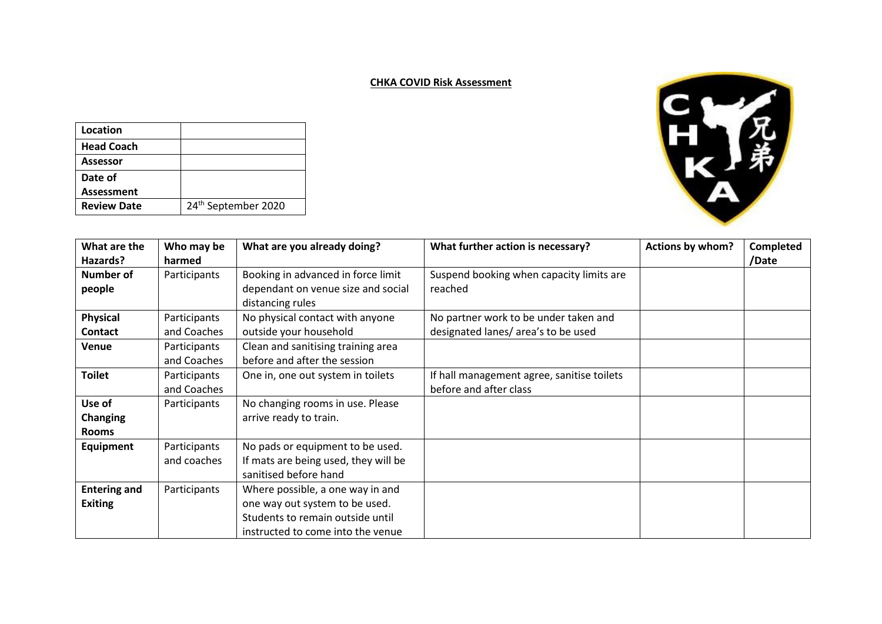## **CHKA COVID Risk Assessment**

| Location           |                                 |
|--------------------|---------------------------------|
| <b>Head Coach</b>  |                                 |
| <b>Assessor</b>    |                                 |
| Date of            |                                 |
| <b>Assessment</b>  |                                 |
| <b>Review Date</b> | 24 <sup>th</sup> September 2020 |



| What are the        | Who may be   | What are you already doing?          | What further action is necessary?          | Actions by whom? | Completed |
|---------------------|--------------|--------------------------------------|--------------------------------------------|------------------|-----------|
| Hazards?            | harmed       |                                      |                                            |                  | /Date     |
| Number of           | Participants | Booking in advanced in force limit   | Suspend booking when capacity limits are   |                  |           |
| people              |              | dependant on venue size and social   | reached                                    |                  |           |
|                     |              | distancing rules                     |                                            |                  |           |
| <b>Physical</b>     | Participants | No physical contact with anyone      | No partner work to be under taken and      |                  |           |
| <b>Contact</b>      | and Coaches  | outside your household               | designated lanes/area's to be used         |                  |           |
| <b>Venue</b>        | Participants | Clean and sanitising training area   |                                            |                  |           |
|                     | and Coaches  | before and after the session         |                                            |                  |           |
| <b>Toilet</b>       | Participants | One in, one out system in toilets    | If hall management agree, sanitise toilets |                  |           |
|                     | and Coaches  |                                      | before and after class                     |                  |           |
| Use of              | Participants | No changing rooms in use. Please     |                                            |                  |           |
| <b>Changing</b>     |              | arrive ready to train.               |                                            |                  |           |
| <b>Rooms</b>        |              |                                      |                                            |                  |           |
| Equipment           | Participants | No pads or equipment to be used.     |                                            |                  |           |
|                     | and coaches  | If mats are being used, they will be |                                            |                  |           |
|                     |              | sanitised before hand                |                                            |                  |           |
| <b>Entering and</b> | Participants | Where possible, a one way in and     |                                            |                  |           |
| <b>Exiting</b>      |              | one way out system to be used.       |                                            |                  |           |
|                     |              | Students to remain outside until     |                                            |                  |           |
|                     |              | instructed to come into the venue    |                                            |                  |           |